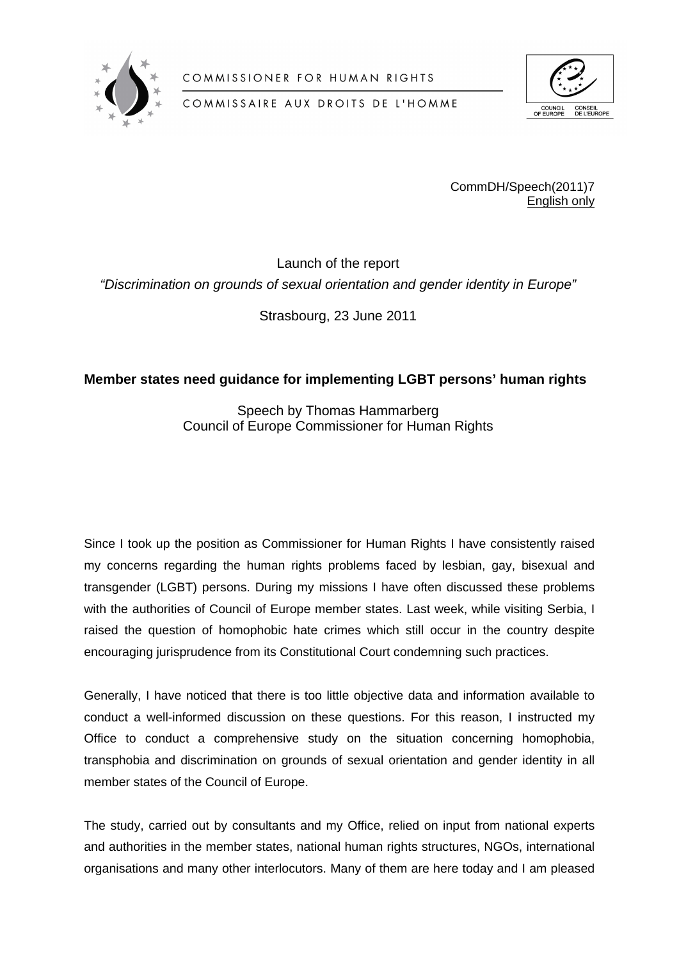

COMMISSIONER FOR HUMAN RIGHTS



COMMISSAIRE AUX DROITS DE L'HOMME

CommDH/Speech(2011)7 English only

Launch of the report *"Discrimination on grounds of sexual orientation and gender identity in Europe"*

Strasbourg, 23 June 2011

## **Member states need guidance for implementing LGBT persons' human rights**

Speech by Thomas Hammarberg Council of Europe Commissioner for Human Rights

Since I took up the position as Commissioner for Human Rights I have consistently raised my concerns regarding the human rights problems faced by lesbian, gay, bisexual and transgender (LGBT) persons. During my missions I have often discussed these problems with the authorities of Council of Europe member states. Last week, while visiting Serbia, I raised the question of homophobic hate crimes which still occur in the country despite encouraging jurisprudence from its Constitutional Court condemning such practices.

Generally, I have noticed that there is too little objective data and information available to conduct a well-informed discussion on these questions. For this reason, I instructed my Office to conduct a comprehensive study on the situation concerning homophobia, transphobia and discrimination on grounds of sexual orientation and gender identity in all member states of the Council of Europe.

The study, carried out by consultants and my Office, relied on input from national experts and authorities in the member states, national human rights structures, NGOs, international organisations and many other interlocutors. Many of them are here today and I am pleased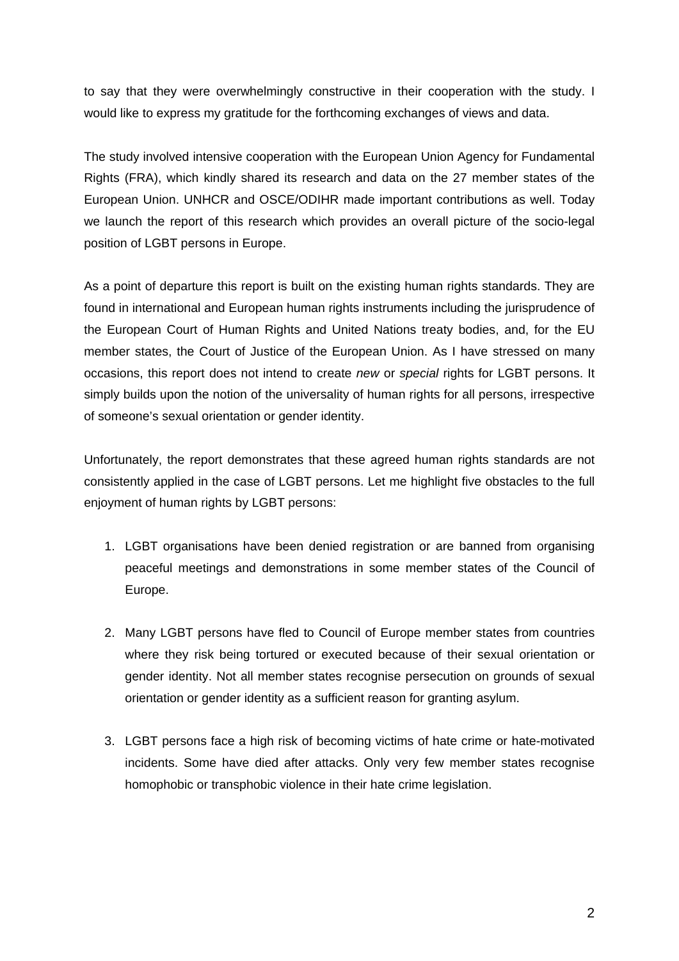to say that they were overwhelmingly constructive in their cooperation with the study. I would like to express my gratitude for the forthcoming exchanges of views and data.

The study involved intensive cooperation with the European Union Agency for Fundamental Rights (FRA), which kindly shared its research and data on the 27 member states of the European Union. UNHCR and OSCE/ODIHR made important contributions as well. Today we launch the report of this research which provides an overall picture of the socio-legal position of LGBT persons in Europe.

As a point of departure this report is built on the existing human rights standards. They are found in international and European human rights instruments including the jurisprudence of the European Court of Human Rights and United Nations treaty bodies, and, for the EU member states, the Court of Justice of the European Union. As I have stressed on many occasions, this report does not intend to create *new* or *special* rights for LGBT persons. It simply builds upon the notion of the universality of human rights for all persons, irrespective of someone's sexual orientation or gender identity.

Unfortunately, the report demonstrates that these agreed human rights standards are not consistently applied in the case of LGBT persons. Let me highlight five obstacles to the full enjoyment of human rights by LGBT persons:

- 1. LGBT organisations have been denied registration or are banned from organising peaceful meetings and demonstrations in some member states of the Council of Europe.
- 2. Many LGBT persons have fled to Council of Europe member states from countries where they risk being tortured or executed because of their sexual orientation or gender identity. Not all member states recognise persecution on grounds of sexual orientation or gender identity as a sufficient reason for granting asylum.
- 3. LGBT persons face a high risk of becoming victims of hate crime or hate-motivated incidents. Some have died after attacks. Only very few member states recognise homophobic or transphobic violence in their hate crime legislation.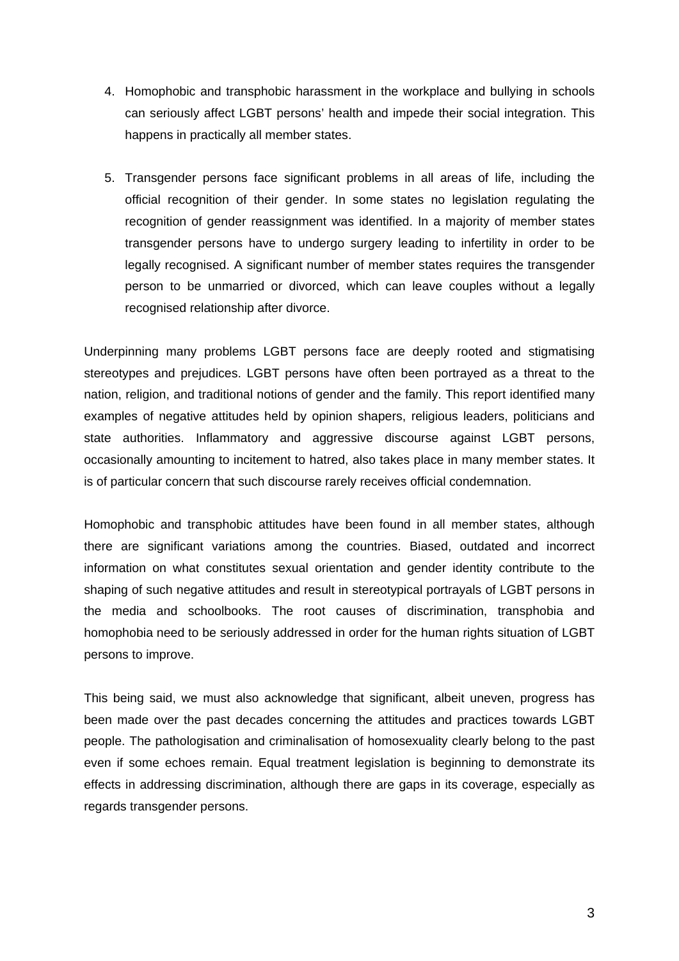- 4. Homophobic and transphobic harassment in the workplace and bullying in schools can seriously affect LGBT persons' health and impede their social integration. This happens in practically all member states.
- 5. Transgender persons face significant problems in all areas of life, including the official recognition of their gender. In some states no legislation regulating the recognition of gender reassignment was identified. In a majority of member states transgender persons have to undergo surgery leading to infertility in order to be legally recognised. A significant number of member states requires the transgender person to be unmarried or divorced, which can leave couples without a legally recognised relationship after divorce.

Underpinning many problems LGBT persons face are deeply rooted and stigmatising stereotypes and prejudices. LGBT persons have often been portrayed as a threat to the nation, religion, and traditional notions of gender and the family. This report identified many examples of negative attitudes held by opinion shapers, religious leaders, politicians and state authorities. Inflammatory and aggressive discourse against LGBT persons, occasionally amounting to incitement to hatred, also takes place in many member states. It is of particular concern that such discourse rarely receives official condemnation.

Homophobic and transphobic attitudes have been found in all member states, although there are significant variations among the countries. Biased, outdated and incorrect information on what constitutes sexual orientation and gender identity contribute to the shaping of such negative attitudes and result in stereotypical portrayals of LGBT persons in the media and schoolbooks. The root causes of discrimination, transphobia and homophobia need to be seriously addressed in order for the human rights situation of LGBT persons to improve.

This being said, we must also acknowledge that significant, albeit uneven, progress has been made over the past decades concerning the attitudes and practices towards LGBT people. The pathologisation and criminalisation of homosexuality clearly belong to the past even if some echoes remain. Equal treatment legislation is beginning to demonstrate its effects in addressing discrimination, although there are gaps in its coverage, especially as regards transgender persons.